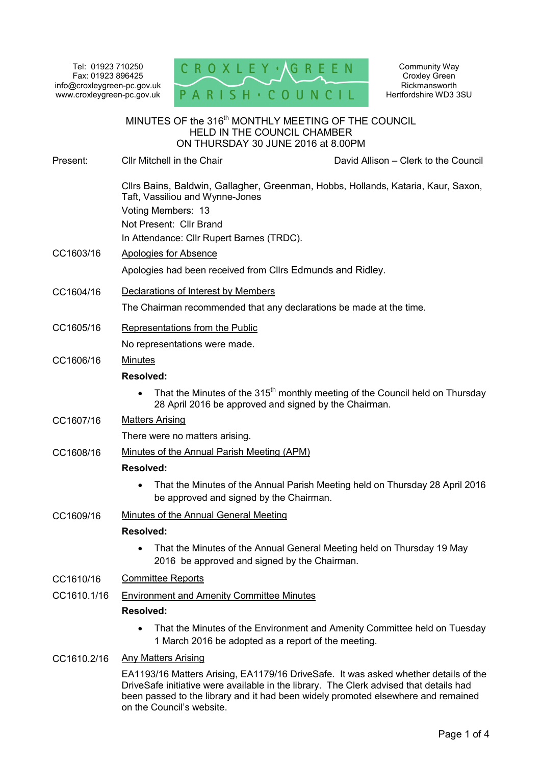Tel: 01923 710250 Fax: 01923 896425 info@croxleygreen-pc.gov.uk www.croxleygreen-pc.gov.uk



Community Way Croxley Green **Rickmansworth** Hertfordshire WD3 3SU

| MINUTES OF the 316 <sup>th</sup> MONTHLY MEETING OF THE COUNCIL<br><b>HELD IN THE COUNCIL CHAMBER</b><br>ON THURSDAY 30 JUNE 2016 at 8.00PM |                                                                                                                                                                               |                                                                                           |
|---------------------------------------------------------------------------------------------------------------------------------------------|-------------------------------------------------------------------------------------------------------------------------------------------------------------------------------|-------------------------------------------------------------------------------------------|
| Present:                                                                                                                                    | Cllr Mitchell in the Chair                                                                                                                                                    | David Allison – Clerk to the Council                                                      |
|                                                                                                                                             | Taft, Vassiliou and Wynne-Jones<br>Voting Members: 13<br>Not Present: Cllr Brand<br>In Attendance: Cllr Rupert Barnes (TRDC).                                                 | Cllrs Bains, Baldwin, Gallagher, Greenman, Hobbs, Hollands, Kataria, Kaur, Saxon,         |
| CC1603/16                                                                                                                                   | <b>Apologies for Absence</b>                                                                                                                                                  |                                                                                           |
|                                                                                                                                             | Apologies had been received from Cllrs Edmunds and Ridley.                                                                                                                    |                                                                                           |
| CC1604/16                                                                                                                                   | Declarations of Interest by Members                                                                                                                                           |                                                                                           |
|                                                                                                                                             | The Chairman recommended that any declarations be made at the time.                                                                                                           |                                                                                           |
| CC1605/16                                                                                                                                   | Representations from the Public                                                                                                                                               |                                                                                           |
|                                                                                                                                             | No representations were made.                                                                                                                                                 |                                                                                           |
| CC1606/16                                                                                                                                   | <b>Minutes</b>                                                                                                                                                                |                                                                                           |
|                                                                                                                                             | Resolved:                                                                                                                                                                     |                                                                                           |
|                                                                                                                                             | 28 April 2016 be approved and signed by the Chairman.                                                                                                                         | That the Minutes of the 315 <sup>th</sup> monthly meeting of the Council held on Thursday |
| CC1607/16                                                                                                                                   | <b>Matters Arising</b>                                                                                                                                                        |                                                                                           |
|                                                                                                                                             | There were no matters arising.                                                                                                                                                |                                                                                           |
| CC1608/16                                                                                                                                   | Minutes of the Annual Parish Meeting (APM)                                                                                                                                    |                                                                                           |
|                                                                                                                                             | <b>Resolved:</b>                                                                                                                                                              |                                                                                           |
|                                                                                                                                             | be approved and signed by the Chairman.                                                                                                                                       | That the Minutes of the Annual Parish Meeting held on Thursday 28 April 2016              |
| CC1609/16                                                                                                                                   | Minutes of the Annual General Meeting                                                                                                                                         |                                                                                           |
|                                                                                                                                             | <b>Resolved:</b>                                                                                                                                                              |                                                                                           |
|                                                                                                                                             | 2016 be approved and signed by the Chairman.                                                                                                                                  | That the Minutes of the Annual General Meeting held on Thursday 19 May                    |
| CC1610/16                                                                                                                                   | <b>Committee Reports</b>                                                                                                                                                      |                                                                                           |
| CC1610.1/16                                                                                                                                 | <b>Environment and Amenity Committee Minutes</b><br>Resolved:                                                                                                                 |                                                                                           |
|                                                                                                                                             | 1 March 2016 be adopted as a report of the meeting.                                                                                                                           | That the Minutes of the Environment and Amenity Committee held on Tuesday                 |
| CC1610.2/16                                                                                                                                 | <b>Any Matters Arising</b>                                                                                                                                                    |                                                                                           |
|                                                                                                                                             | EA1193/16 Matters Arising, EA1179/16 DriveSafe. It was asked whether details of the<br>DriveSafe initiative were available in the library. The Clerk advised that details had |                                                                                           |

been passed to the library and it had been widely promoted elsewhere and remained

on the Council's website.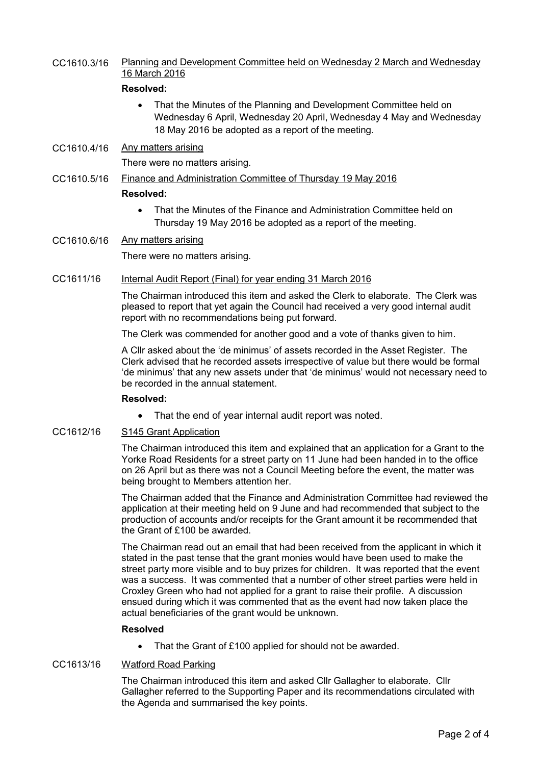CC1610.3/16 Planning and Development Committee held on Wednesday 2 March and Wednesday 16 March 2016

# **Resolved:**

- That the Minutes of the Planning and Development Committee held on Wednesday 6 April, Wednesday 20 April, Wednesday 4 May and Wednesday 18 May 2016 be adopted as a report of the meeting.
- CC1610.4/16 Any matters arising

There were no matters arising.

- CC1610.5/16 Finance and Administration Committee of Thursday 19 May 2016 **Resolved:** 
	- That the Minutes of the Finance and Administration Committee held on Thursday 19 May 2016 be adopted as a report of the meeting.
- CC1610.6/16 Any matters arising

There were no matters arising.

CC1611/16 Internal Audit Report (Final) for year ending 31 March 2016

The Chairman introduced this item and asked the Clerk to elaborate. The Clerk was pleased to report that yet again the Council had received a very good internal audit report with no recommendations being put forward.

The Clerk was commended for another good and a vote of thanks given to him.

A Cllr asked about the 'de minimus' of assets recorded in the Asset Register. The Clerk advised that he recorded assets irrespective of value but there would be formal 'de minimus' that any new assets under that 'de minimus' would not necessary need to be recorded in the annual statement.

### **Resolved:**

• That the end of year internal audit report was noted.

### CC1612/16 S145 Grant Application

The Chairman introduced this item and explained that an application for a Grant to the Yorke Road Residents for a street party on 11 June had been handed in to the office on 26 April but as there was not a Council Meeting before the event, the matter was being brought to Members attention her.

The Chairman added that the Finance and Administration Committee had reviewed the application at their meeting held on 9 June and had recommended that subject to the production of accounts and/or receipts for the Grant amount it be recommended that the Grant of £100 be awarded.

The Chairman read out an email that had been received from the applicant in which it stated in the past tense that the grant monies would have been used to make the street party more visible and to buy prizes for children. It was reported that the event was a success. It was commented that a number of other street parties were held in Croxley Green who had not applied for a grant to raise their profile. A discussion ensued during which it was commented that as the event had now taken place the actual beneficiaries of the grant would be unknown.

### **Resolved**

• That the Grant of £100 applied for should not be awarded.

# CC1613/16 Watford Road Parking

The Chairman introduced this item and asked Cllr Gallagher to elaborate. Cllr Gallagher referred to the Supporting Paper and its recommendations circulated with the Agenda and summarised the key points.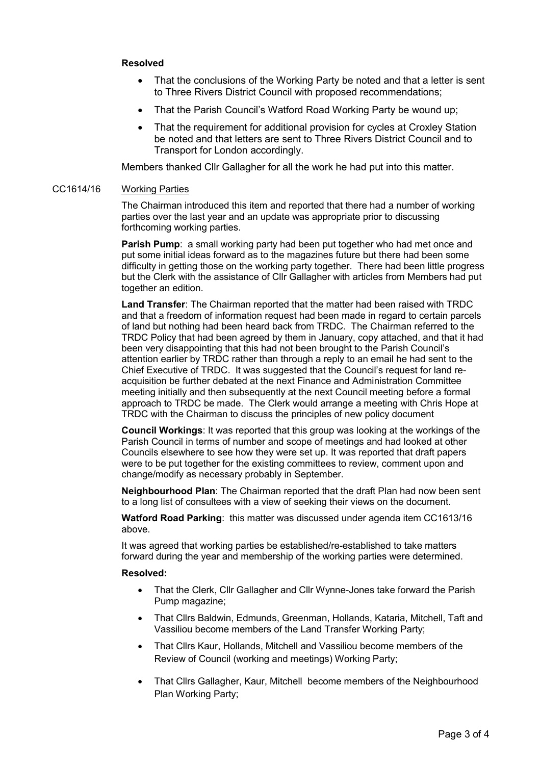# **Resolved**

- That the conclusions of the Working Party be noted and that a letter is sent to Three Rivers District Council with proposed recommendations;
- That the Parish Council's Watford Road Working Party be wound up;
- That the requirement for additional provision for cycles at Croxley Station be noted and that letters are sent to Three Rivers District Council and to Transport for London accordingly.

Members thanked Cllr Gallagher for all the work he had put into this matter.

#### CC1614/16 Working Parties

The Chairman introduced this item and reported that there had a number of working parties over the last year and an update was appropriate prior to discussing forthcoming working parties.

**Parish Pump**: a small working party had been put together who had met once and put some initial ideas forward as to the magazines future but there had been some difficulty in getting those on the working party together. There had been little progress but the Clerk with the assistance of Cllr Gallagher with articles from Members had put together an edition.

**Land Transfer**: The Chairman reported that the matter had been raised with TRDC and that a freedom of information request had been made in regard to certain parcels of land but nothing had been heard back from TRDC. The Chairman referred to the TRDC Policy that had been agreed by them in January, copy attached, and that it had been very disappointing that this had not been brought to the Parish Council's attention earlier by TRDC rather than through a reply to an email he had sent to the Chief Executive of TRDC. It was suggested that the Council's request for land reacquisition be further debated at the next Finance and Administration Committee meeting initially and then subsequently at the next Council meeting before a formal approach to TRDC be made. The Clerk would arrange a meeting with Chris Hope at TRDC with the Chairman to discuss the principles of new policy document

**Council Workings**: It was reported that this group was looking at the workings of the Parish Council in terms of number and scope of meetings and had looked at other Councils elsewhere to see how they were set up. It was reported that draft papers were to be put together for the existing committees to review, comment upon and change/modify as necessary probably in September.

**Neighbourhood Plan**: The Chairman reported that the draft Plan had now been sent to a long list of consultees with a view of seeking their views on the document.

**Watford Road Parking**: this matter was discussed under agenda item CC1613/16 above.

It was agreed that working parties be established/re-established to take matters forward during the year and membership of the working parties were determined.

### **Resolved:**

- That the Clerk, Cllr Gallagher and Cllr Wynne-Jones take forward the Parish Pump magazine;
- That Cllrs Baldwin, Edmunds, Greenman, Hollands, Kataria, Mitchell, Taft and Vassiliou become members of the Land Transfer Working Party;
- That Cllrs Kaur, Hollands, Mitchell and Vassiliou become members of the Review of Council (working and meetings) Working Party;
- That Cllrs Gallagher, Kaur, Mitchell become members of the Neighbourhood Plan Working Party;